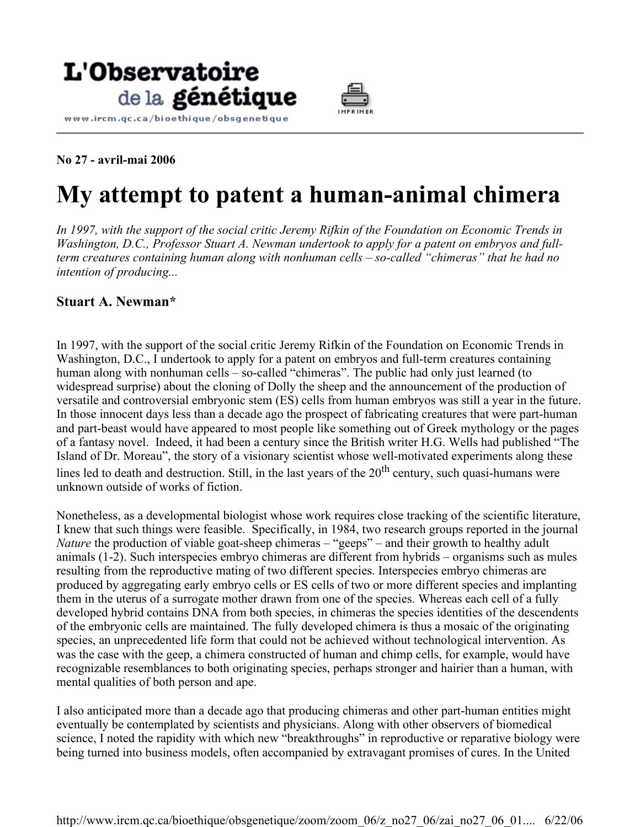



**No 27 - avril-mai 2006** 

## **My attempt to patent a human-animal chimera**

*In 1997, with the support of the social critic Jeremy Rifkin of the Foundation on Economic Trends in Washington, D.C., Professor Stuart A. Newman undertook to apply for a patent on embryos and fullterm creatures containing human along with nonhuman cells – so-called "chimeras" that he had no intention of producing...*

## **Stuart A. Newman\***

In 1997, with the support of the social critic Jeremy Rifkin of the Foundation on Economic Trends in Washington, D.C., I undertook to apply for a patent on embryos and full-term creatures containing human along with nonhuman cells – so-called "chimeras". The public had only just learned (to widespread surprise) about the cloning of Dolly the sheep and the announcement of the production of versatile and controversial embryonic stem (ES) cells from human embryos was still a year in the future. In those innocent days less than a decade ago the prospect of fabricating creatures that were part-human and part-beast would have appeared to most people like something out of Greek mythology or the pages of a fantasy novel. Indeed, it had been a century since the British writer H.G. Wells had published "The Island of Dr. Moreau", the story of a visionary scientist whose well-motivated experiments along these lines led to death and destruction. Still, in the last years of the  $20<sup>th</sup>$  century, such quasi-humans were unknown outside of works of fiction.

Nonetheless, as a developmental biologist whose work requires close tracking of the scientific literature, I knew that such things were feasible. Specifically, in 1984, two research groups reported in the journal *Nature* the production of viable goat-sheep chimeras – "geeps" – and their growth to healthy adult animals (1-2). Such interspecies embryo chimeras are different from hybrids – organisms such as mules resulting from the reproductive mating of two different species. Interspecies embryo chimeras are produced by aggregating early embryo cells or ES cells of two or more different species and implanting them in the uterus of a surrogate mother drawn from one of the species. Whereas each cell of a fully developed hybrid contains DNA from both species, in chimeras the species identities of the descendents of the embryonic cells are maintained. The fully developed chimera is thus a mosaic of the originating species, an unprecedented life form that could not be achieved without technological intervention. As was the case with the geep, a chimera constructed of human and chimp cells, for example, would have recognizable resemblances to both originating species, perhaps stronger and hairier than a human, with mental qualities of both person and ape.

I also anticipated more than a decade ago that producing chimeras and other part-human entities might eventually be contemplated by scientists and physicians. Along with other observers of biomedical science, I noted the rapidity with which new "breakthroughs" in reproductive or reparative biology were being turned into business models, often accompanied by extravagant promises of cures. In the United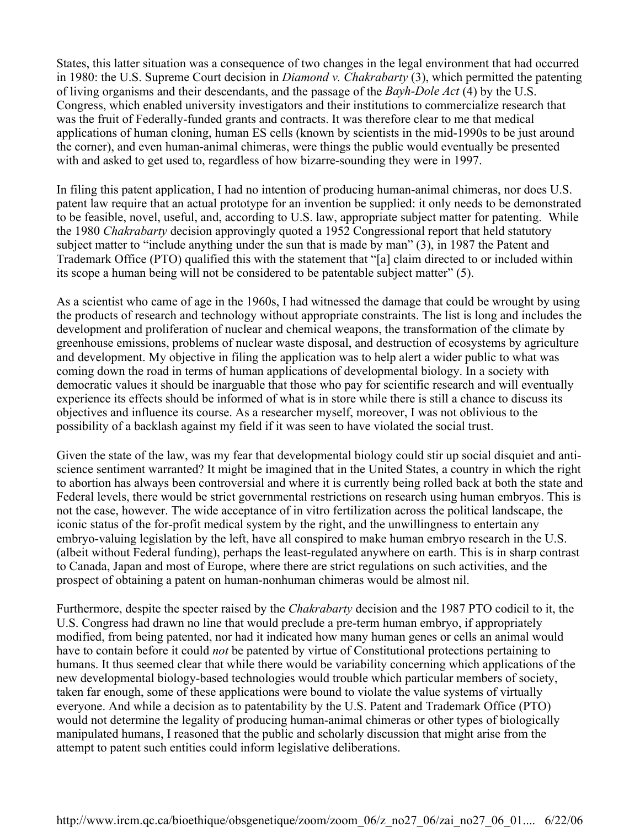States, this latter situation was a consequence of two changes in the legal environment that had occurred in 1980: the U.S. Supreme Court decision in *Diamond v. Chakrabarty* (3), which permitted the patenting of living organisms and their descendants, and the passage of the *Bayh-Dole Act* (4) by the U.S. Congress, which enabled university investigators and their institutions to commercialize research that was the fruit of Federally-funded grants and contracts. It was therefore clear to me that medical applications of human cloning, human ES cells (known by scientists in the mid-1990s to be just around the corner), and even human-animal chimeras, were things the public would eventually be presented with and asked to get used to, regardless of how bizarre-sounding they were in 1997.

In filing this patent application, I had no intention of producing human-animal chimeras, nor does U.S. patent law require that an actual prototype for an invention be supplied: it only needs to be demonstrated to be feasible, novel, useful, and, according to U.S. law, appropriate subject matter for patenting. While the 1980 *Chakrabarty* decision approvingly quoted a 1952 Congressional report that held statutory subject matter to "include anything under the sun that is made by man" (3), in 1987 the Patent and Trademark Office (PTO) qualified this with the statement that "[a] claim directed to or included within its scope a human being will not be considered to be patentable subject matter" (5).

As a scientist who came of age in the 1960s, I had witnessed the damage that could be wrought by using the products of research and technology without appropriate constraints. The list is long and includes the development and proliferation of nuclear and chemical weapons, the transformation of the climate by greenhouse emissions, problems of nuclear waste disposal, and destruction of ecosystems by agriculture and development. My objective in filing the application was to help alert a wider public to what was coming down the road in terms of human applications of developmental biology. In a society with democratic values it should be inarguable that those who pay for scientific research and will eventually experience its effects should be informed of what is in store while there is still a chance to discuss its objectives and influence its course. As a researcher myself, moreover, I was not oblivious to the possibility of a backlash against my field if it was seen to have violated the social trust.

Given the state of the law, was my fear that developmental biology could stir up social disquiet and antiscience sentiment warranted? It might be imagined that in the United States, a country in which the right to abortion has always been controversial and where it is currently being rolled back at both the state and Federal levels, there would be strict governmental restrictions on research using human embryos. This is not the case, however. The wide acceptance of in vitro fertilization across the political landscape, the iconic status of the for-profit medical system by the right, and the unwillingness to entertain any embryo-valuing legislation by the left, have all conspired to make human embryo research in the U.S. (albeit without Federal funding), perhaps the least-regulated anywhere on earth. This is in sharp contrast to Canada, Japan and most of Europe, where there are strict regulations on such activities, and the prospect of obtaining a patent on human-nonhuman chimeras would be almost nil.

Furthermore, despite the specter raised by the *Chakrabarty* decision and the 1987 PTO codicil to it, the U.S. Congress had drawn no line that would preclude a pre-term human embryo, if appropriately modified, from being patented, nor had it indicated how many human genes or cells an animal would have to contain before it could *not* be patented by virtue of Constitutional protections pertaining to humans. It thus seemed clear that while there would be variability concerning which applications of the new developmental biology-based technologies would trouble which particular members of society, taken far enough, some of these applications were bound to violate the value systems of virtually everyone. And while a decision as to patentability by the U.S. Patent and Trademark Office (PTO) would not determine the legality of producing human-animal chimeras or other types of biologically manipulated humans, I reasoned that the public and scholarly discussion that might arise from the attempt to patent such entities could inform legislative deliberations.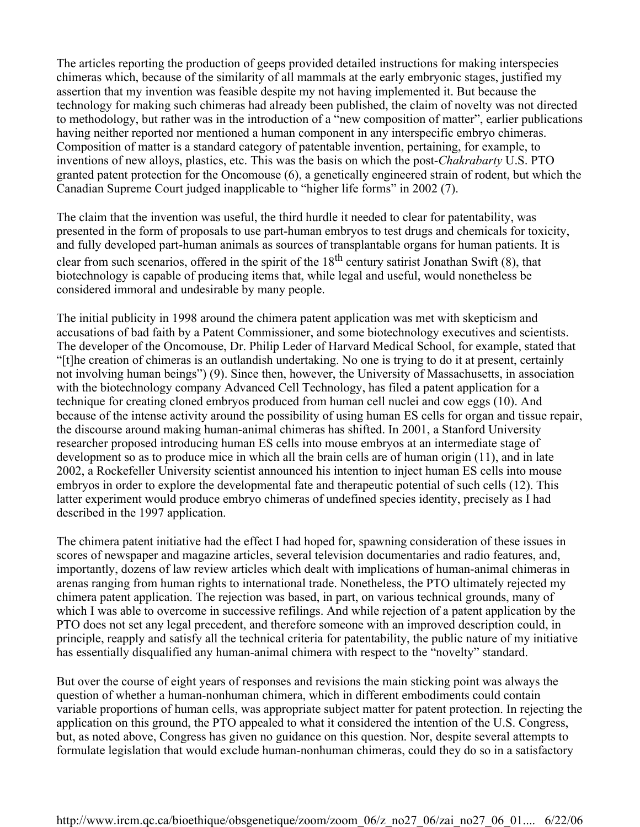The articles reporting the production of geeps provided detailed instructions for making interspecies chimeras which, because of the similarity of all mammals at the early embryonic stages, justified my assertion that my invention was feasible despite my not having implemented it. But because the technology for making such chimeras had already been published, the claim of novelty was not directed to methodology, but rather was in the introduction of a "new composition of matter", earlier publications having neither reported nor mentioned a human component in any interspecific embryo chimeras. Composition of matter is a standard category of patentable invention, pertaining, for example, to inventions of new alloys, plastics, etc. This was the basis on which the post-*Chakrabarty* U.S. PTO granted patent protection for the Oncomouse (6), a genetically engineered strain of rodent, but which the Canadian Supreme Court judged inapplicable to "higher life forms" in 2002 (7).

The claim that the invention was useful, the third hurdle it needed to clear for patentability, was presented in the form of proposals to use part-human embryos to test drugs and chemicals for toxicity, and fully developed part-human animals as sources of transplantable organs for human patients. It is clear from such scenarios, offered in the spirit of the  $18<sup>th</sup>$  century satirist Jonathan Swift (8), that biotechnology is capable of producing items that, while legal and useful, would nonetheless be considered immoral and undesirable by many people.

The initial publicity in 1998 around the chimera patent application was met with skepticism and accusations of bad faith by a Patent Commissioner, and some biotechnology executives and scientists. The developer of the Oncomouse, Dr. Philip Leder of Harvard Medical School, for example, stated that "[t]he creation of chimeras is an outlandish undertaking. No one is trying to do it at present, certainly not involving human beings") (9). Since then, however, the University of Massachusetts, in association with the biotechnology company Advanced Cell Technology, has filed a patent application for a technique for creating cloned embryos produced from human cell nuclei and cow eggs (10). And because of the intense activity around the possibility of using human ES cells for organ and tissue repair, the discourse around making human-animal chimeras has shifted. In 2001, a Stanford University researcher proposed introducing human ES cells into mouse embryos at an intermediate stage of development so as to produce mice in which all the brain cells are of human origin (11), and in late 2002, a Rockefeller University scientist announced his intention to inject human ES cells into mouse embryos in order to explore the developmental fate and therapeutic potential of such cells (12). This latter experiment would produce embryo chimeras of undefined species identity, precisely as I had described in the 1997 application.

The chimera patent initiative had the effect I had hoped for, spawning consideration of these issues in scores of newspaper and magazine articles, several television documentaries and radio features, and, importantly, dozens of law review articles which dealt with implications of human-animal chimeras in arenas ranging from human rights to international trade. Nonetheless, the PTO ultimately rejected my chimera patent application. The rejection was based, in part, on various technical grounds, many of which I was able to overcome in successive refilings. And while rejection of a patent application by the PTO does not set any legal precedent, and therefore someone with an improved description could, in principle, reapply and satisfy all the technical criteria for patentability, the public nature of my initiative has essentially disqualified any human-animal chimera with respect to the "novelty" standard.

But over the course of eight years of responses and revisions the main sticking point was always the question of whether a human-nonhuman chimera, which in different embodiments could contain variable proportions of human cells, was appropriate subject matter for patent protection. In rejecting the application on this ground, the PTO appealed to what it considered the intention of the U.S. Congress, but, as noted above, Congress has given no guidance on this question. Nor, despite several attempts to formulate legislation that would exclude human-nonhuman chimeras, could they do so in a satisfactory